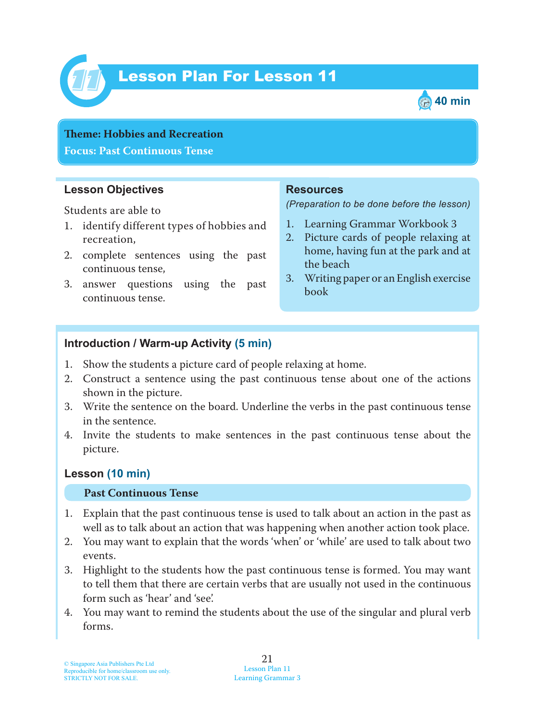

# Lesson Plan For Lesson 11 *11*



**Theme: Hobbies and Recreation Focus: Past Continuous Tense**

#### **Lesson Objectives**

Students are able to

- 1. identify different types of hobbies and recreation,
- 2. complete sentences using the past continuous tense,
- 3. answer questions using the past continuous tense.

#### **Resources**

*(Preparation to be done before the lesson)*

- 1. Learning Grammar Workbook 3
- 2. Picture cards of people relaxing at home, having fun at the park and at the beach
- 3. Writing paper or an English exercise book

### **Introduction / Warm-up Activity (5 min)**

- 1. Show the students a picture card of people relaxing at home.
- 2. Construct a sentence using the past continuous tense about one of the actions shown in the picture.
- 3. Write the sentence on the board. Underline the verbs in the past continuous tense in the sentence.
- 4. Invite the students to make sentences in the past continuous tense about the picture.

### **Lesson (10 min)**

#### **Past Continuous Tense**

- 1. Explain that the past continuous tense is used to talk about an action in the past as well as to talk about an action that was happening when another action took place.
- 2. You may want to explain that the words 'when' or 'while' are used to talk about two events.
- 3. Highlight to the students how the past continuous tense is formed. You may want to tell them that there are certain verbs that are usually not used in the continuous form such as 'hear' and 'see'.
- 4. You may want to remind the students about the use of the singular and plural verb forms.